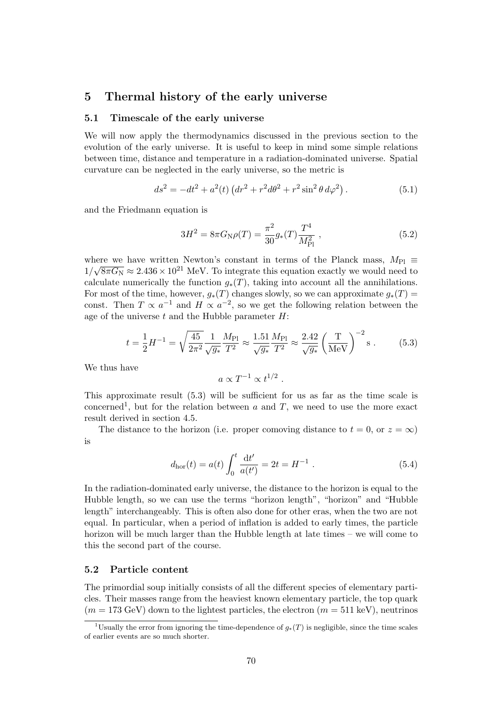# 5 Thermal history of the early universe

#### 5.1 Timescale of the early universe

We will now apply the thermodynamics discussed in the previous section to the evolution of the early universe. It is useful to keep in mind some simple relations between time, distance and temperature in a radiation-dominated universe. Spatial curvature can be neglected in the early universe, so the metric is

$$
ds^{2} = -dt^{2} + a^{2}(t) \left( dr^{2} + r^{2} d\theta^{2} + r^{2} \sin^{2} \theta d\varphi^{2} \right). \tag{5.1}
$$

and the Friedmann equation is

$$
3H^2 = 8\pi G_{\rm N}\rho(T) = \frac{\pi^2}{30}g_*(T)\frac{T^4}{M_{\rm Pl}^2} \,,\tag{5.2}
$$

where we have written Newton's constant in terms of the Planck mass,  $M_{\text{Pl}} \equiv$  $1/\sqrt{8\pi G_{\rm N}} \approx 2.436 \times 10^{21}$  MeV. To integrate this equation exactly we would need to calculate numerically the function  $g_*(T)$ , taking into account all the annihilations. For most of the time, however,  $q_*(T)$  changes slowly, so we can approximate  $q_*(T)$  = const. Then  $T \propto a^{-1}$  and  $H \propto a^{-2}$ , so we get the following relation between the age of the universe  $t$  and the Hubble parameter  $H$ :

$$
t = \frac{1}{2}H^{-1} = \sqrt{\frac{45}{2\pi^2}} \frac{1}{\sqrt{g_*}} \frac{M_{\text{Pl}}}{T^2} \approx \frac{1.51}{\sqrt{g_*}} \frac{M_{\text{Pl}}}{T^2} \approx \frac{2.42}{\sqrt{g_*}} \left(\frac{T}{\text{MeV}}\right)^{-2} \text{s} \,. \tag{5.3}
$$

We thus have

$$
a \propto T^{-1} \propto t^{1/2} .
$$

This approximate result (5.3) will be sufficient for us as far as the time scale is concerned<sup>1</sup>, but for the relation between  $a$  and  $T$ , we need to use the more exact result derived in section 4.5.

The distance to the horizon (i.e. proper comoving distance to  $t = 0$ , or  $z = \infty$ ) is

$$
d_{\rm hor}(t) = a(t) \int_0^t \frac{\mathrm{d}t'}{a(t')} = 2t = H^{-1} . \tag{5.4}
$$

In the radiation-dominated early universe, the distance to the horizon is equal to the Hubble length, so we can use the terms "horizon length", "horizon" and "Hubble length" interchangeably. This is often also done for other eras, when the two are not equal. In particular, when a period of inflation is added to early times, the particle horizon will be much larger than the Hubble length at late times – we will come to this the second part of the course.

# 5.2 Particle content

The primordial soup initially consists of all the different species of elementary particles. Their masses range from the heaviest known elementary particle, the top quark  $(m = 173 \text{ GeV})$  down to the lightest particles, the electron  $(m = 511 \text{ keV})$ , neutrinos

<sup>&</sup>lt;sup>1</sup>Usually the error from ignoring the time-dependence of  $g_*(T)$  is negligible, since the time scales of earlier events are so much shorter.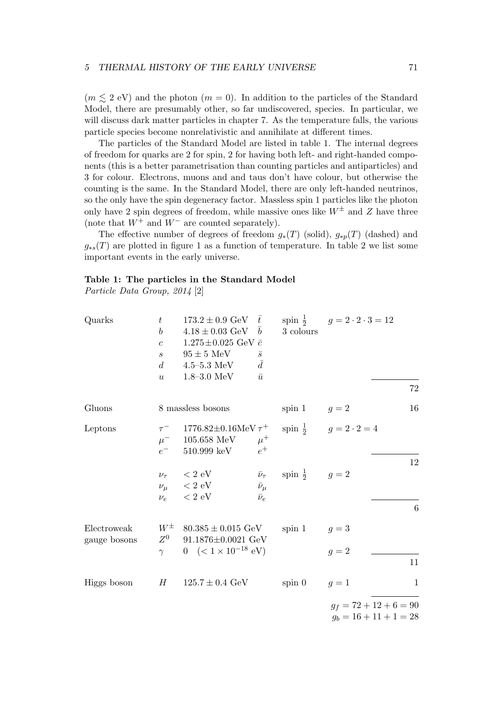$(m \leq 2 \text{ eV})$  and the photon  $(m = 0)$ . In addition to the particles of the Standard Model, there are presumably other, so far undiscovered, species. In particular, we will discuss dark matter particles in chapter 7. As the temperature falls, the various particle species become nonrelativistic and annihilate at different times.

The particles of the Standard Model are listed in table 1. The internal degrees of freedom for quarks are 2 for spin, 2 for having both left- and right-handed components (this is a better parametrisation than counting particles and antiparticles) and 3 for colour. Electrons, muons and and taus don't have colour, but otherwise the counting is the same. In the Standard Model, there are only left-handed neutrinos, so the only have the spin degeneracy factor. Massless spin 1 particles like the photon only have 2 spin degrees of freedom, while massive ones like  $W^{\pm}$  and Z have three (note that  $W^+$  and  $W^-$  are counted separately).

The effective number of degrees of freedom  $g_*(T)$  (solid),  $g_{*p}(T)$  (dashed) and  $g_{*s}(T)$  are plotted in figure 1 as a function of temperature. In table 2 we list some important events in the early universe.

# Table 1: The particles in the Standard Model

Particle Data Group, 2014 [2]

| Quarks                      | $t\,$<br>$\boldsymbol{b}$<br>$\overline{c}$<br>$\mathcal{S}_{\mathcal{S}}$<br>$d_{\cdot}$<br>$\boldsymbol{u}$ | $173.2 \pm 0.9 \text{ GeV} \quad \bar{t}$<br>$4.18 \pm 0.03 \text{ GeV}$<br>$1.275 \pm 0.025$ GeV $\bar{c}$<br>$95\pm5~\mathrm{MeV}$<br>$4.5 - 5.3 \text{ MeV}$<br>$1.8 - 3.0 \, \text{MeV}$ | $\bar{b}$<br>$\bar{s}$<br>$\bar{d}$<br>$\bar{u}$ | 3 colours                                   | spin $\frac{1}{2}$ $g = 2 \cdot 2 \cdot 3 = 12$      | 72           |
|-----------------------------|---------------------------------------------------------------------------------------------------------------|----------------------------------------------------------------------------------------------------------------------------------------------------------------------------------------------|--------------------------------------------------|---------------------------------------------|------------------------------------------------------|--------------|
| Gluons                      |                                                                                                               | 8 massless bosons                                                                                                                                                                            |                                                  | spin 1 $g = 2$                              |                                                      | 16           |
| Leptons                     | $\mu^-$<br>$e^-$                                                                                              | $\tau^-$ 1776.82±0.16MeV $\tau^+$<br>105.658 MeV $\mu^+$<br>$510.999 \text{ keV}$ $e^+$                                                                                                      |                                                  |                                             | spin $\frac{1}{2}$ $g = 2 \cdot 2 = 4$               |              |
|                             |                                                                                                               | $\nu_\tau$ $~<2~{\rm eV}$<br>$\nu_\mu$ < 2 eV<br>$\nu_e$ $~<$ 2 eV                                                                                                                           | $\bar{\nu}_{\mu}$<br>$\bar{\nu}_e$               | $\bar{\nu}_{\tau}$ spin $\frac{1}{2}$ $g=2$ |                                                      | 12<br>6      |
| Electroweak<br>gauge bosons | $Z^0$<br>$\gamma$                                                                                             | $W^{\pm}$ 80.385 $\pm$ 0.015 GeV<br>$91.1876 \pm 0.0021$ GeV<br>0 $(< 1 \times 10^{-18}$ eV)                                                                                                 |                                                  | spin 1 $g = 3$                              | $g=2$                                                | 11           |
| Higgs boson                 |                                                                                                               | $H = 125.7 \pm 0.4$ GeV                                                                                                                                                                      |                                                  | $spin\ 0$                                   | $g=1$                                                | $\mathbf{1}$ |
|                             |                                                                                                               |                                                                                                                                                                                              |                                                  |                                             | $g_f = 72 + 12 + 6 = 90$<br>$g_b = 16 + 11 + 1 = 28$ |              |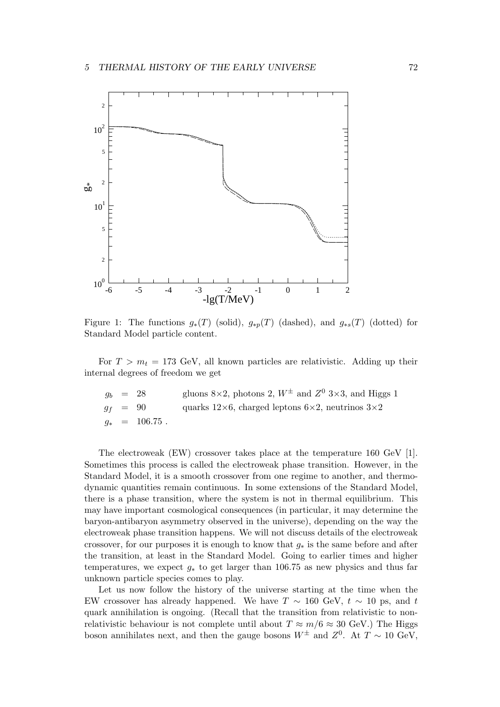

Figure 1: The functions  $g_*(T)$  (solid),  $g_{*p}(T)$  (dashed), and  $g_{*s}(T)$  (dotted) for Standard Model particle content.

For  $T > m_t = 173$  GeV, all known particles are relativistic. Adding up their internal degrees of freedom we get

|  | $g_b = 28$      | gluons 8×2, photons 2, $W^{\pm}$ and $Z^{0}$ 3×3, and Higgs 1          |
|--|-----------------|------------------------------------------------------------------------|
|  | $q_f = 90$      | quarks $12\times6$ , charged leptons $6\times2$ , neutrinos $3\times2$ |
|  | $q_*$ = 106.75. |                                                                        |

The electroweak (EW) crossover takes place at the temperature 160 GeV [1]. Sometimes this process is called the electroweak phase transition. However, in the Standard Model, it is a smooth crossover from one regime to another, and thermodynamic quantities remain continuous. In some extensions of the Standard Model, there is a phase transition, where the system is not in thermal equilibrium. This may have important cosmological consequences (in particular, it may determine the baryon-antibaryon asymmetry observed in the universe), depending on the way the electroweak phase transition happens. We will not discuss details of the electroweak crossover, for our purposes it is enough to know that  $g_*$  is the same before and after the transition, at least in the Standard Model. Going to earlier times and higher temperatures, we expect  $g_*$  to get larger than 106.75 as new physics and thus far unknown particle species comes to play.

Let us now follow the history of the universe starting at the time when the EW crossover has already happened. We have  $T \sim 160 \text{ GeV}, t \sim 10 \text{ ps}, \text{ and } t$ quark annihilation is ongoing. (Recall that the transition from relativistic to nonrelativistic behaviour is not complete until about  $T \approx m/6 \approx 30$  GeV.) The Higgs boson annihilates next, and then the gauge bosons  $W^{\pm}$  and  $Z^{0}$ . At  $T \sim 10 \text{ GeV}$ ,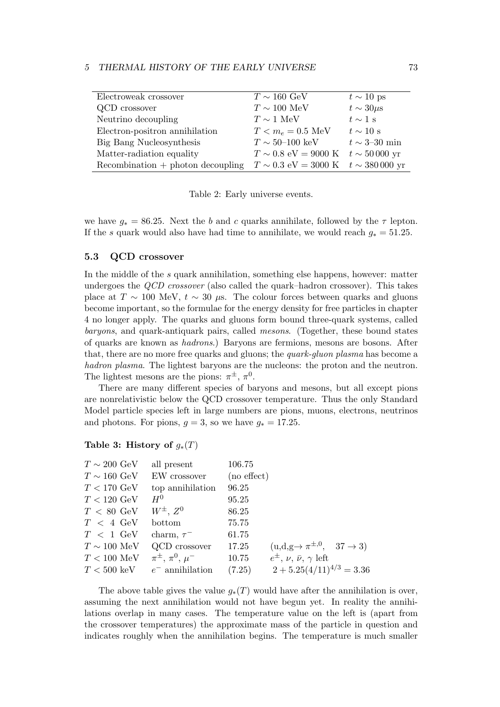| Electroweak crossover                | $T \sim 160 \text{ GeV}$                                            | $t \sim 10$ ps            |
|--------------------------------------|---------------------------------------------------------------------|---------------------------|
|                                      |                                                                     |                           |
| QCD crossover                        | $T\sim 100~\mathrm{MeV}$                                            | $t \sim 30 \mu s$         |
| Neutrino decoupling                  | $T \sim 1$ MeV                                                      | $t \sim 1$ s              |
| Electron-positron annihilation       | $T < m_e = 0.5 \text{ MeV}$                                         | $t \sim 10$ s             |
| Big Bang Nucleosynthesis             | $T \sim 50{\text -}100~\text{keV}$                                  | $t \sim 3\text{--}30$ min |
| Matter-radiation equality            | $T \sim 0.8$ eV = 9000 K $t \sim 50000$ yr                          |                           |
| $Recommendation + photon decoupling$ | $T \sim 0.3 \text{ eV} = 3000 \text{ K}$ $t \sim 380000 \text{ yr}$ |                           |

Table 2: Early universe events.

we have  $g_* = 86.25$ . Next the b and c quarks annihilate, followed by the  $\tau$  lepton. If the s quark would also have had time to annihilate, we would reach  $g_* = 51.25$ .

### 5.3 QCD crossover

In the middle of the s quark annihilation, something else happens, however: matter undergoes the QCD crossover (also called the quark–hadron crossover). This takes place at  $T \sim 100$  MeV,  $t \sim 30 \mu s$ . The colour forces between quarks and gluons become important, so the formulae for the energy density for free particles in chapter 4 no longer apply. The quarks and gluons form bound three-quark systems, called baryons, and quark-antiquark pairs, called mesons. (Together, these bound states of quarks are known as hadrons.) Baryons are fermions, mesons are bosons. After that, there are no more free quarks and gluons; the quark-gluon plasma has become a hadron plasma. The lightest baryons are the nucleons: the proton and the neutron. The lightest mesons are the pions:  $\pi^{\pm}$ ,  $\pi^0$ .

There are many different species of baryons and mesons, but all except pions are nonrelativistic below the QCD crossover temperature. Thus the only Standard Model particle species left in large numbers are pions, muons, electrons, neutrinos and photons. For pions,  $g = 3$ , so we have  $g_* = 17.25$ .

# Table 3: History of  $g_*(T)$

| all present               | 106.75 |                                                                                                                                                          |
|---------------------------|--------|----------------------------------------------------------------------------------------------------------------------------------------------------------|
| EW crossover              |        |                                                                                                                                                          |
| top annihilation          | 96.25  |                                                                                                                                                          |
| $H^0$                     | 95.25  |                                                                                                                                                          |
| $W^{\pm}$ , $Z^0$         | 86.25  |                                                                                                                                                          |
| bottom                    | 75.75  |                                                                                                                                                          |
| charm, $\tau^-$           | 61.75  |                                                                                                                                                          |
| QCD crossover             | 17.25  |                                                                                                                                                          |
| $\pi^{\pm}, \pi^0, \mu^-$ | 10.75  |                                                                                                                                                          |
| $e^-$ annihilation        | (7.25) |                                                                                                                                                          |
|                           |        | $(no \, effect)$<br>$(u,d,g \rightarrow \pi^{\pm,0}, \quad 37 \rightarrow 3)$<br>$e^{\pm}, \nu, \bar{\nu}, \gamma$ left<br>$2 + 5.25(4/11)^{4/3} = 3.36$ |

The above table gives the value  $g_*(T)$  would have after the annihilation is over, assuming the next annihilation would not have begun yet. In reality the annihilations overlap in many cases. The temperature value on the left is (apart from the crossover temperatures) the approximate mass of the particle in question and indicates roughly when the annihilation begins. The temperature is much smaller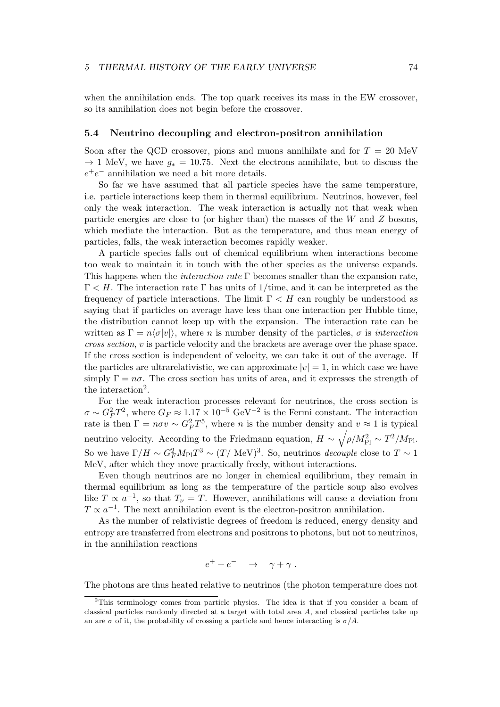when the annihilation ends. The top quark receives its mass in the EW crossover, so its annihilation does not begin before the crossover.

# 5.4 Neutrino decoupling and electron-positron annihilation

Soon after the QCD crossover, pions and muons annihilate and for  $T = 20$  MeV  $\rightarrow$  1 MeV, we have  $q_* = 10.75$ . Next the electrons annihilate, but to discuss the  $e^+e^-$  annihilation we need a bit more details.

So far we have assumed that all particle species have the same temperature, i.e. particle interactions keep them in thermal equilibrium. Neutrinos, however, feel only the weak interaction. The weak interaction is actually not that weak when particle energies are close to (or higher than) the masses of the  $W$  and  $Z$  bosons, which mediate the interaction. But as the temperature, and thus mean energy of particles, falls, the weak interaction becomes rapidly weaker.

A particle species falls out of chemical equilibrium when interactions become too weak to maintain it in touch with the other species as the universe expands. This happens when the *interaction rate*  $\Gamma$  becomes smaller than the expansion rate,  $\Gamma < H$ . The interaction rate  $\Gamma$  has units of 1/time, and it can be interpreted as the frequency of particle interactions. The limit  $\Gamma < H$  can roughly be understood as saying that if particles on average have less than one interaction per Hubble time, the distribution cannot keep up with the expansion. The interaction rate can be written as  $\Gamma = n \langle \sigma |v| \rangle$ , where n is number density of the particles,  $\sigma$  is interaction cross section, v is particle velocity and the brackets are average over the phase space. If the cross section is independent of velocity, we can take it out of the average. If the particles are ultrarelativistic, we can approximate  $|v| = 1$ , in which case we have simply  $\Gamma = n\sigma$ . The cross section has units of area, and it expresses the strength of the interaction<sup>2</sup>.

For the weak interaction processes relevant for neutrinos, the cross section is  $\sigma \sim G_F^2 T^2$ , where  $G_F \approx 1.17 \times 10^{-5} \text{ GeV}^{-2}$  is the Fermi constant. The interaction rate is then  $\Gamma = n\sigma v \sim G_F^2 T^5$ , where *n* is the number density and  $v \approx 1$  is typical neutrino velocity. According to the Friedmann equation,  $H \sim \sqrt{\rho/M_{\rm Pl}^2} \sim T^2/M_{\rm Pl}$ . So we have  $\Gamma/H \sim G_F^2 M_{\rm Pl} T^3 \sim (T/\text{ MeV})^3$ . So, neutrinos *decouple* close to  $T \sim 1$ MeV, after which they move practically freely, without interactions.

Even though neutrinos are no longer in chemical equilibrium, they remain in thermal equilibrium as long as the temperature of the particle soup also evolves like  $T \propto a^{-1}$ , so that  $T_{\nu} = T$ . However, annihilations will cause a deviation from  $T \propto a^{-1}$ . The next annihilation event is the electron-positron annihilation.

As the number of relativistic degrees of freedom is reduced, energy density and entropy are transferred from electrons and positrons to photons, but not to neutrinos, in the annihilation reactions

$$
e^+ + e^- \quad \rightarrow \quad \gamma + \gamma \; .
$$

The photons are thus heated relative to neutrinos (the photon temperature does not

<sup>2</sup>This terminology comes from particle physics. The idea is that if you consider a beam of classical particles randomly directed at a target with total area A, and classical particles take up an are  $\sigma$  of it, the probability of crossing a particle and hence interacting is  $\sigma/A$ .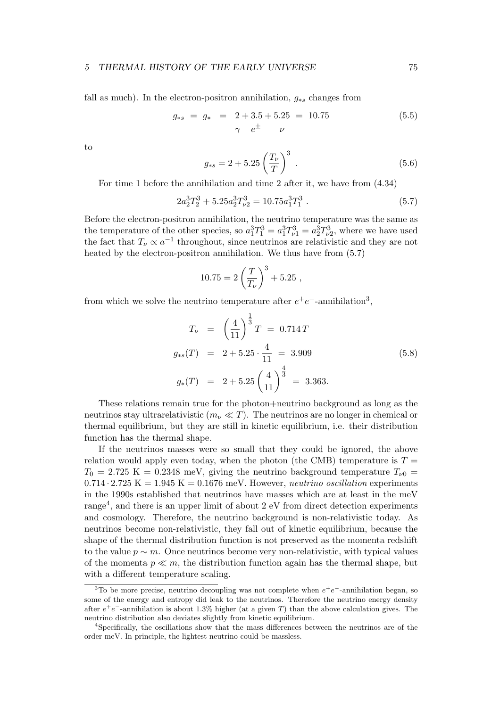fall as much). In the electron-positron annihilation,  $q_{*s}$  changes from

$$
g_{*s} = g_* = 2 + 3.5 + 5.25 = 10.75
$$
\n
$$
\gamma e^{\pm} \nu
$$
\n(5.5)

to

$$
g_{*s} = 2 + 5.25 \left(\frac{T_{\nu}}{T}\right)^3 \tag{5.6}
$$

For time 1 before the annihilation and time 2 after it, we have from (4.34)

$$
2a_2^3T_2^3 + 5.25a_2^3T_{\nu 2}^3 = 10.75a_1^3T_1^3 \tag{5.7}
$$

Before the electron-positron annihilation, the neutrino temperature was the same as the temperature of the other species, so  $a_1^3 T_1^3 = a_1^3 T_{\nu 1}^3 = a_2^3 T_{\nu 2}^3$ , where we have used the fact that  $T_{\nu} \propto a^{-1}$  throughout, since neutrinos are relativistic and they are not heated by the electron-positron annihilation. We thus have from (5.7)

$$
10.75 = 2\left(\frac{T}{T_{\nu}}\right)^3 + 5.25,
$$

from which we solve the neutrino temperature after  $e^+e^-$ -annihilation<sup>3</sup>,

$$
T_{\nu} = \left(\frac{4}{11}\right)^{\frac{1}{3}}T = 0.714T
$$
  
\n
$$
g_{*s}(T) = 2 + 5.25 \cdot \frac{4}{11} = 3.909
$$
  
\n
$$
g_{*}(T) = 2 + 5.25 \left(\frac{4}{11}\right)^{\frac{4}{3}} = 3.363.
$$
\n(5.8)

These relations remain true for the photon+neutrino background as long as the neutrinos stay ultrarelativistic  $(m_\nu \ll T)$ . The neutrinos are no longer in chemical or thermal equilibrium, but they are still in kinetic equilibrium, i.e. their distribution function has the thermal shape.

If the neutrinos masses were so small that they could be ignored, the above relation would apply even today, when the photon (the CMB) temperature is  $T =$  $T_0 = 2.725 \text{ K} = 0.2348 \text{ meV}$ , giving the neutrino background temperature  $T_{\nu 0} =$  $0.714 \cdot 2.725 \text{ K} = 1.945 \text{ K} = 0.1676 \text{ meV}$ . However, neutrino oscillation experiments in the 1990s established that neutrinos have masses which are at least in the meV range<sup>4</sup>, and there is an upper limit of about 2 eV from direct detection experiments and cosmology. Therefore, the neutrino background is non-relativistic today. As neutrinos become non-relativistic, they fall out of kinetic equilibrium, because the shape of the thermal distribution function is not preserved as the momenta redshift to the value  $p \sim m$ . Once neutrinos become very non-relativistic, with typical values of the momenta  $p \ll m$ , the distribution function again has the thermal shape, but with a different temperature scaling.

<sup>&</sup>lt;sup>3</sup>To be more precise, neutrino decoupling was not complete when  $e^+e^-$ -annihilation began, so some of the energy and entropy did leak to the neutrinos. Therefore the neutrino energy density after  $e^+e^-$ -annihilation is about 1.3% higher (at a given T) than the above calculation gives. The neutrino distribution also deviates slightly from kinetic equilibrium.

<sup>4</sup>Specifically, the oscillations show that the mass differences between the neutrinos are of the order meV. In principle, the lightest neutrino could be massless.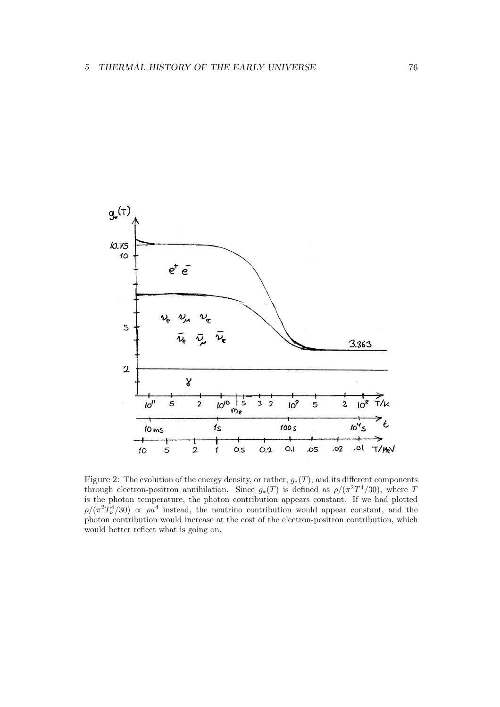

Figure 2: The evolution of the energy density, or rather,  $g_*(T)$ , and its different components through electron-positron annihilation. Since  $g_*(T)$  is defined as  $\rho/(\pi^2T^4/30)$ , where T is the photon temperature, the photon contribution appears constant. If we had plotted  $\rho/(\pi^2 T_\nu^4/30) \propto \rho a^4$  instead, the neutrino contribution would appear constant, and the photon contribution would increase at the cost of the electron-positron contribution, which would better reflect what is going on.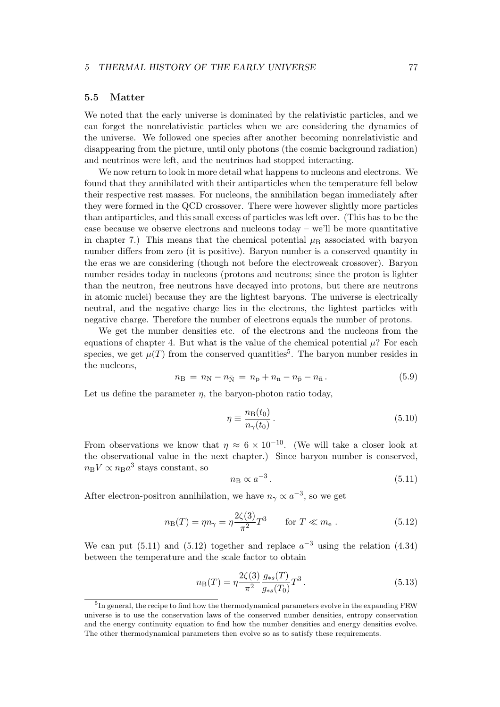# 5.5 Matter

We noted that the early universe is dominated by the relativistic particles, and we can forget the nonrelativistic particles when we are considering the dynamics of the universe. We followed one species after another becoming nonrelativistic and disappearing from the picture, until only photons (the cosmic background radiation) and neutrinos were left, and the neutrinos had stopped interacting.

We now return to look in more detail what happens to nucleons and electrons. We found that they annihilated with their antiparticles when the temperature fell below their respective rest masses. For nucleons, the annihilation began immediately after they were formed in the QCD crossover. There were however slightly more particles than antiparticles, and this small excess of particles was left over. (This has to be the case because we observe electrons and nucleons today – we'll be more quantitative in chapter 7.) This means that the chemical potential  $\mu_B$  associated with baryon number differs from zero (it is positive). Baryon number is a conserved quantity in the eras we are considering (though not before the electroweak crossover). Baryon number resides today in nucleons (protons and neutrons; since the proton is lighter than the neutron, free neutrons have decayed into protons, but there are neutrons in atomic nuclei) because they are the lightest baryons. The universe is electrically neutral, and the negative charge lies in the electrons, the lightest particles with negative charge. Therefore the number of electrons equals the number of protons.

We get the number densities etc. of the electrons and the nucleons from the equations of chapter 4. But what is the value of the chemical potential  $\mu$ ? For each species, we get  $\mu(T)$  from the conserved quantities<sup>5</sup>. The baryon number resides in the nucleons,

$$
n_{\rm B} = n_{\rm N} - n_{\bar{\rm N}} = n_{\rm p} + n_{\rm n} - n_{\bar{\rm p}} - n_{\bar{\rm n}}. \tag{5.9}
$$

Let us define the parameter  $\eta$ , the baryon-photon ratio today,

$$
\eta \equiv \frac{n_{\rm B}(t_0)}{n_{\gamma}(t_0)}\,. \tag{5.10}
$$

From observations we know that  $\eta \approx 6 \times 10^{-10}$ . (We will take a closer look at the observational value in the next chapter.) Since baryon number is conserved,  $n_{\rm B}V \propto n_{\rm B}a^3$  stays constant, so

$$
n_{\rm B} \propto a^{-3} \,. \tag{5.11}
$$

After electron-positron annihilation, we have  $n_{\gamma} \propto a^{-3}$ , so we get

$$
n_{\rm B}(T) = \eta n_{\gamma} = \eta \frac{2\zeta(3)}{\pi^2} T^3 \qquad \text{for } T \ll m_{\rm e} \; . \tag{5.12}
$$

We can put (5.11) and (5.12) together and replace  $a^{-3}$  using the relation (4.34) between the temperature and the scale factor to obtain

$$
n_{\rm B}(T) = \eta \frac{2\zeta(3)}{\pi^2} \frac{g_{*s}(T)}{g_{*s}(T_0)} T^3.
$$
\n(5.13)

<sup>&</sup>lt;sup>5</sup>In general, the recipe to find how the thermodynamical parameters evolve in the expanding FRW universe is to use the conservation laws of the conserved number densities, entropy conservation and the energy continuity equation to find how the number densities and energy densities evolve. The other thermodynamical parameters then evolve so as to satisfy these requirements.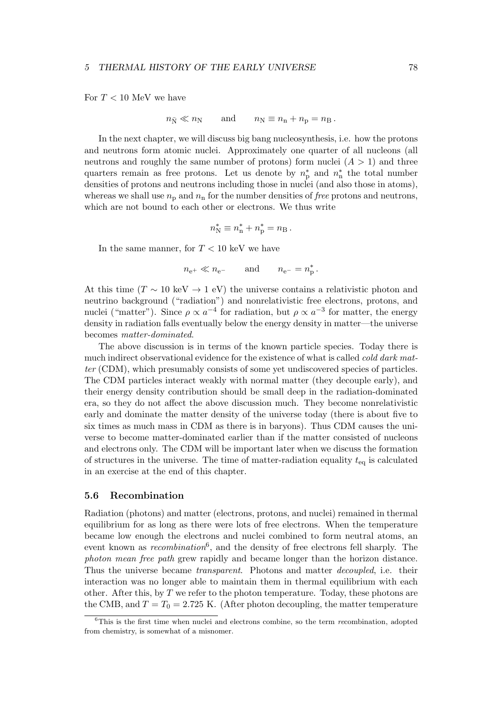For  $T < 10$  MeV we have

$$
n_{\bar{N}} \ll n_N
$$
 and  $n_N \equiv n_n + n_p = n_B$ .

In the next chapter, we will discuss big bang nucleosynthesis, i.e. how the protons and neutrons form atomic nuclei. Approximately one quarter of all nucleons (all neutrons and roughly the same number of protons) form nuclei  $(A > 1)$  and three quarters remain as free protons. Let us denote by  $n_p^*$  and  $n_n^*$ n the total number densities of protons and neutrons including those in nuclei (and also those in atoms), whereas we shall use  $n_{\rm p}$  and  $n_{\rm n}$  for the number densities of *free* protons and neutrons, which are not bound to each other or electrons. We thus write

$$
n_{\rm N}^* \equiv n_{\rm n}^* + n_{\rm p}^* = n_{\rm B}.
$$

In the same manner, for  $T < 10 \text{ keV}$  we have

$$
n_{\rm e^+}\ll n_{\rm e^-} \qquad\text{and}\qquad n_{\rm e^-}=n^*_{\rm p}\,.
$$

At this time ( $T \sim 10 \text{ keV} \rightarrow 1 \text{ eV}$ ) the universe contains a relativistic photon and neutrino background ("radiation") and nonrelativistic free electrons, protons, and nuclei ("matter"). Since  $\rho \propto a^{-4}$  for radiation, but  $\rho \propto a^{-3}$  for matter, the energy density in radiation falls eventually below the energy density in matter—the universe becomes matter-dominated.

The above discussion is in terms of the known particle species. Today there is much indirect observational evidence for the existence of what is called *cold dark mat*ter (CDM), which presumably consists of some yet undiscovered species of particles. The CDM particles interact weakly with normal matter (they decouple early), and their energy density contribution should be small deep in the radiation-dominated era, so they do not affect the above discussion much. They become nonrelativistic early and dominate the matter density of the universe today (there is about five to six times as much mass in CDM as there is in baryons). Thus CDM causes the universe to become matter-dominated earlier than if the matter consisted of nucleons and electrons only. The CDM will be important later when we discuss the formation of structures in the universe. The time of matter-radiation equality  $t_{eq}$  is calculated in an exercise at the end of this chapter.

# 5.6 Recombination

Radiation (photons) and matter (electrons, protons, and nuclei) remained in thermal equilibrium for as long as there were lots of free electrons. When the temperature became low enough the electrons and nuclei combined to form neutral atoms, an event known as *recombination*<sup>6</sup>, and the density of free electrons fell sharply. The photon mean free path grew rapidly and became longer than the horizon distance. Thus the universe became transparent. Photons and matter decoupled, i.e. their interaction was no longer able to maintain them in thermal equilibrium with each other. After this, by  $T$  we refer to the photon temperature. Today, these photons are the CMB, and  $T = T_0 = 2.725$  K. (After photon decoupling, the matter temperature

 ${}^{6}$ This is the first time when nuclei and electrons combine, so the term *recombination*, adopted from chemistry, is somewhat of a misnomer.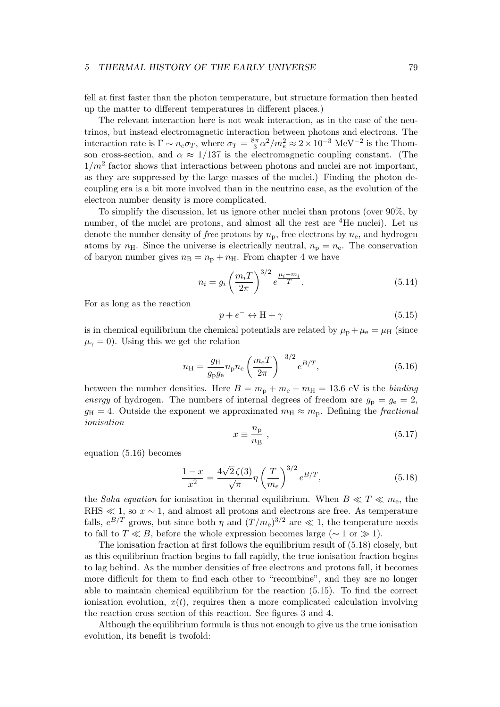fell at first faster than the photon temperature, but structure formation then heated up the matter to different temperatures in different places.)

The relevant interaction here is not weak interaction, as in the case of the neutrinos, but instead electromagnetic interaction between photons and electrons. The interaction rate is  $\Gamma \sim n_e \sigma_T$ , where  $\sigma_T = \frac{8\pi}{3} \alpha^2/m_e^2 \approx 2 \times 10^{-3} \text{ MeV}^{-2}$  is the Thomson cross-section, and  $\alpha \approx 1/137$  is the electromagnetic coupling constant. (The  $1/m^2$  factor shows that interactions between photons and nuclei are not important, as they are suppressed by the large masses of the nuclei.) Finding the photon decoupling era is a bit more involved than in the neutrino case, as the evolution of the electron number density is more complicated.

To simplify the discussion, let us ignore other nuclei than protons (over 90%, by number, of the nuclei are protons, and almost all the rest are <sup>4</sup>He nuclei). Let us denote the number density of *free* protons by  $n_p$ , free electrons by  $n_e$ , and hydrogen atoms by  $n_{\rm H}$ . Since the universe is electrically neutral,  $n_{\rm p} = n_{\rm e}$ . The conservation of baryon number gives  $n<sub>B</sub> = n<sub>p</sub> + n<sub>H</sub>$ . From chapter 4 we have

$$
n_i = g_i \left(\frac{m_i T}{2\pi}\right)^{3/2} e^{\frac{\mu_i - m_i}{T}}.
$$
 (5.14)

For as long as the reaction

$$
p + e^- \leftrightarrow H + \gamma \tag{5.15}
$$

is in chemical equilibrium the chemical potentials are related by  $\mu_{\rm p} + \mu_{\rm e} = \mu_{\rm H}$  (since  $\mu_{\gamma} = 0$ ). Using this we get the relation

$$
n_{\rm H} = \frac{g_{\rm H}}{g_{\rm p}g_{\rm e}} n_{\rm p} n_{\rm e} \left(\frac{m_{\rm e}T}{2\pi}\right)^{-3/2} e^{B/T},\tag{5.16}
$$

between the number densities. Here  $B = m_{\rm p} + m_{\rm e} - m_{\rm H} = 13.6$  eV is the binding energy of hydrogen. The numbers of internal degrees of freedom are  $g_p = g_e = 2$ ,  $g_{\rm H} = 4$ . Outside the exponent we approximated  $m_{\rm H} \approx m_{\rm p}$ . Defining the fractional ionisation

$$
x \equiv \frac{n_{\rm p}}{n_{\rm B}} \,,\tag{5.17}
$$

equation (5.16) becomes

$$
\frac{1-x}{x^2} = \frac{4\sqrt{2}\,\zeta(3)}{\sqrt{\pi}}\eta\left(\frac{T}{m_e}\right)^{3/2}e^{B/T},\tag{5.18}
$$

the Saha equation for ionisation in thermal equilibrium. When  $B \ll T \ll m_e$ , the RHS  $\ll 1$ , so  $x \sim 1$ , and almost all protons and electrons are free. As temperature falls,  $e^{B/T}$  grows, but since both  $\eta$  and  $(T/m_e)^{3/2}$  are  $\ll 1$ , the temperature needs to fall to  $T \ll B$ , before the whole expression becomes large ( $\sim 1$  or  $\gg 1$ ).

The ionisation fraction at first follows the equilibrium result of (5.18) closely, but as this equilibrium fraction begins to fall rapidly, the true ionisation fraction begins to lag behind. As the number densities of free electrons and protons fall, it becomes more difficult for them to find each other to "recombine", and they are no longer able to maintain chemical equilibrium for the reaction (5.15). To find the correct ionisation evolution,  $x(t)$ , requires then a more complicated calculation involving the reaction cross section of this reaction. See figures 3 and 4.

Although the equilibrium formula is thus not enough to give us the true ionisation evolution, its benefit is twofold: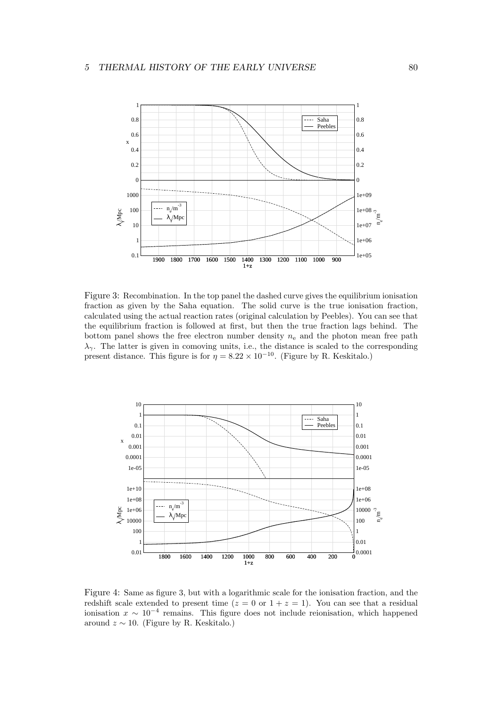

Figure 3: Recombination. In the top panel the dashed curve gives the equilibrium ionisation fraction as given by the Saha equation. The solid curve is the true ionisation fraction, calculated using the actual reaction rates (original calculation by Peebles). You can see that the equilibrium fraction is followed at first, but then the true fraction lags behind. The bottom panel shows the free electron number density  $n_e$  and the photon mean free path  $\lambda_{\gamma}$ . The latter is given in comoving units, i.e., the distance is scaled to the corresponding present distance. This figure is for  $\eta = 8.22 \times 10^{-10}$ . (Figure by R. Keskitalo.)



Figure 4: Same as figure 3, but with a logarithmic scale for the ionisation fraction, and the redshift scale extended to present time ( $z = 0$  or  $1 + z = 1$ ). You can see that a residual ionisation  $x \sim 10^{-4}$  remains. This figure does not include reionisation, which happened around  $z \sim 10$ . (Figure by R. Keskitalo.)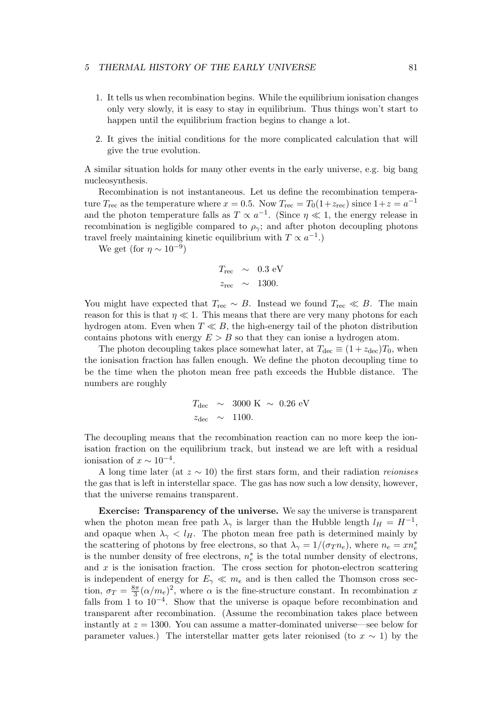- 1. It tells us when recombination begins. While the equilibrium ionisation changes only very slowly, it is easy to stay in equilibrium. Thus things won't start to happen until the equilibrium fraction begins to change a lot.
- 2. It gives the initial conditions for the more complicated calculation that will give the true evolution.

A similar situation holds for many other events in the early universe, e.g. big bang nucleosynthesis.

Recombination is not instantaneous. Let us define the recombination temperature  $T_{\text{rec}}$  as the temperature where  $x = 0.5$ . Now  $T_{\text{rec}} = T_0(1 + z_{\text{rec}})$  since  $1 + z = a^{-1}$ and the photon temperature falls as  $T \propto a^{-1}$ . (Since  $\eta \ll 1$ , the energy release in recombination is negligible compared to  $\rho_{\gamma}$ ; and after photon decoupling photons travel freely maintaining kinetic equilibrium with  $T \propto a^{-1}$ .)

We get (for  $\eta \sim 10^{-9}$ )

$$
T_{\text{rec}} \sim 0.3 \text{ eV}
$$
  

$$
z_{\text{rec}} \sim 1300.
$$

You might have expected that  $T_{\text{rec}} \sim B$ . Instead we found  $T_{\text{rec}} \ll B$ . The main reason for this is that  $\eta \ll 1$ . This means that there are very many photons for each hydrogen atom. Even when  $T \ll B$ , the high-energy tail of the photon distribution contains photons with energy  $E > B$  so that they can ionise a hydrogen atom.

The photon decoupling takes place somewhat later, at  $T_{\text{dec}} \equiv (1 + z_{\text{dec}})T_0$ , when the ionisation fraction has fallen enough. We define the photon decoupling time to be the time when the photon mean free path exceeds the Hubble distance. The numbers are roughly

$$
T_{\text{dec}} \sim 3000 \text{ K} \sim 0.26 \text{ eV}
$$
  

$$
z_{\text{dec}} \sim 1100.
$$

The decoupling means that the recombination reaction can no more keep the ionisation fraction on the equilibrium track, but instead we are left with a residual ionisation of  $x \sim 10^{-4}$ .

A long time later (at  $z \sim 10$ ) the first stars form, and their radiation reionises the gas that is left in interstellar space. The gas has now such a low density, however, that the universe remains transparent.

Exercise: Transparency of the universe. We say the universe is transparent when the photon mean free path  $\lambda_{\gamma}$  is larger than the Hubble length  $l_H = H^{-1}$ , and opaque when  $\lambda_{\gamma} < l_H$ . The photon mean free path is determined mainly by the scattering of photons by free electrons, so that  $\lambda_{\gamma} = 1/(\sigma_T n_e)$ , where  $n_e = xn_e^*$ is the number density of free electrons,  $n_e^*$  $e^*$  is the total number density of electrons, and  $x$  is the ionisation fraction. The cross section for photon-electron scattering is independent of energy for  $E_{\gamma} \ll m_e$  and is then called the Thomson cross section,  $\sigma_T = \frac{8\pi}{3} (\alpha/m_e)^2$ , where  $\alpha$  is the fine-structure constant. In recombination x falls from 1 to  $10^{-4}$ . Show that the universe is opaque before recombination and transparent after recombination. (Assume the recombination takes place between instantly at  $z = 1300$ . You can assume a matter-dominated universe—see below for parameter values.) The interstellar matter gets later reionised (to  $x \sim 1$ ) by the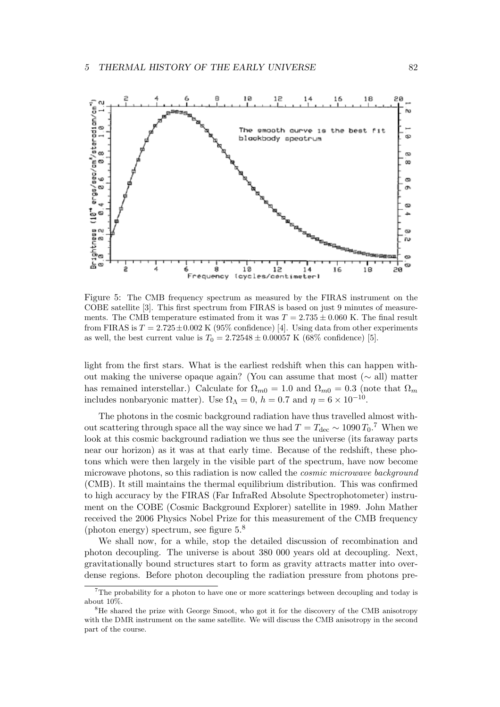

Figure 5: The CMB frequency spectrum as measured by the FIRAS instrument on the COBE satellite [3]. This first spectrum from FIRAS is based on just 9 minutes of measurements. The CMB temperature estimated from it was  $T = 2.735 \pm 0.060$  K. The final result from FIRAS is  $T = 2.725 \pm 0.002$  K (95% confidence) [4]. Using data from other experiments as well, the best current value is  $T_0 = 2.72548 \pm 0.00057$  K (68% confidence) [5].

light from the first stars. What is the earliest redshift when this can happen without making the universe opaque again? (You can assume that most ( $\sim$  all) matter has remained interstellar.) Calculate for  $\Omega_{m0} = 1.0$  and  $\Omega_{m0} = 0.3$  (note that  $\Omega_m$ includes nonbaryonic matter). Use  $\Omega_{\Lambda} = 0$ ,  $h = 0.7$  and  $\eta = 6 \times 10^{-10}$ .

The photons in the cosmic background radiation have thus travelled almost without scattering through space all the way since we had  $T = T_{\text{dec}} \sim 1090 T_0$ .<sup>7</sup> When we look at this cosmic background radiation we thus see the universe (its faraway parts near our horizon) as it was at that early time. Because of the redshift, these photons which were then largely in the visible part of the spectrum, have now become microwave photons, so this radiation is now called the cosmic microwave background (CMB). It still maintains the thermal equilibrium distribution. This was confirmed to high accuracy by the FIRAS (Far InfraRed Absolute Spectrophotometer) instrument on the COBE (Cosmic Background Explorer) satellite in 1989. John Mather received the 2006 Physics Nobel Prize for this measurement of the CMB frequency (photon energy) spectrum, see figure 5.<sup>8</sup>

We shall now, for a while, stop the detailed discussion of recombination and photon decoupling. The universe is about 380 000 years old at decoupling. Next, gravitationally bound structures start to form as gravity attracts matter into overdense regions. Before photon decoupling the radiation pressure from photons pre-

 $7$ The probability for a photon to have one or more scatterings between decoupling and today is about 10%.

<sup>&</sup>lt;sup>8</sup>He shared the prize with George Smoot, who got it for the discovery of the CMB anisotropy with the DMR instrument on the same satellite. We will discuss the CMB anisotropy in the second part of the course.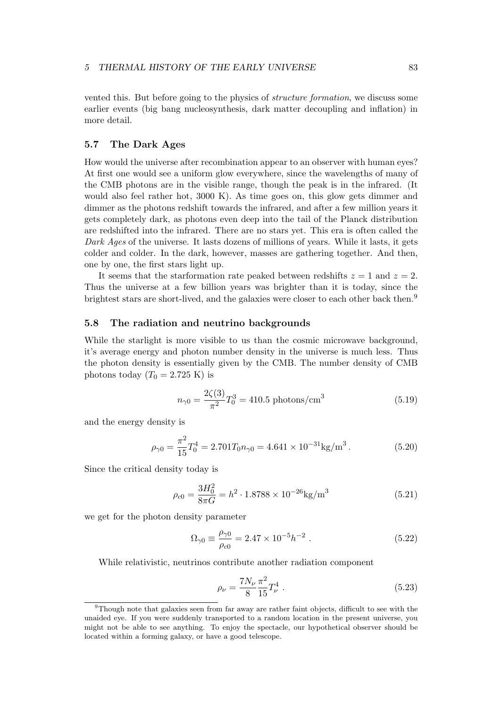vented this. But before going to the physics of structure formation, we discuss some earlier events (big bang nucleosynthesis, dark matter decoupling and inflation) in more detail.

# 5.7 The Dark Ages

How would the universe after recombination appear to an observer with human eyes? At first one would see a uniform glow everywhere, since the wavelengths of many of the CMB photons are in the visible range, though the peak is in the infrared. (It would also feel rather hot, 3000 K). As time goes on, this glow gets dimmer and dimmer as the photons redshift towards the infrared, and after a few million years it gets completely dark, as photons even deep into the tail of the Planck distribution are redshifted into the infrared. There are no stars yet. This era is often called the Dark Ages of the universe. It lasts dozens of millions of years. While it lasts, it gets colder and colder. In the dark, however, masses are gathering together. And then, one by one, the first stars light up.

It seems that the starformation rate peaked between redshifts  $z = 1$  and  $z = 2$ . Thus the universe at a few billion years was brighter than it is today, since the brightest stars are short-lived, and the galaxies were closer to each other back then.<sup>9</sup>

# 5.8 The radiation and neutrino backgrounds

While the starlight is more visible to us than the cosmic microwave background, it's average energy and photon number density in the universe is much less. Thus the photon density is essentially given by the CMB. The number density of CMB photons today  $(T_0 = 2.725 \text{ K})$  is

$$
n_{\gamma 0} = \frac{2\zeta(3)}{\pi^2} T_0^3 = 410.5 \text{ photons/cm}^3 \tag{5.19}
$$

and the energy density is

$$
\rho_{\gamma 0} = \frac{\pi^2}{15} T_0^4 = 2.701 T_0 n_{\gamma 0} = 4.641 \times 10^{-31} \text{kg/m}^3. \tag{5.20}
$$

Since the critical density today is

$$
\rho_{c0} = \frac{3H_0^2}{8\pi G} = h^2 \cdot 1.8788 \times 10^{-26} \text{kg/m}^3 \tag{5.21}
$$

we get for the photon density parameter

$$
\Omega_{\gamma 0} \equiv \frac{\rho_{\gamma 0}}{\rho_{c0}} = 2.47 \times 10^{-5} h^{-2} . \qquad (5.22)
$$

While relativistic, neutrinos contribute another radiation component

$$
\rho_{\nu} = \frac{7N_{\nu}}{8} \frac{\pi^2}{15} T_{\nu}^4 \tag{5.23}
$$

<sup>&</sup>lt;sup>9</sup>Though note that galaxies seen from far away are rather faint objects, difficult to see with the unaided eye. If you were suddenly transported to a random location in the present universe, you might not be able to see anything. To enjoy the spectacle, our hypothetical observer should be located within a forming galaxy, or have a good telescope.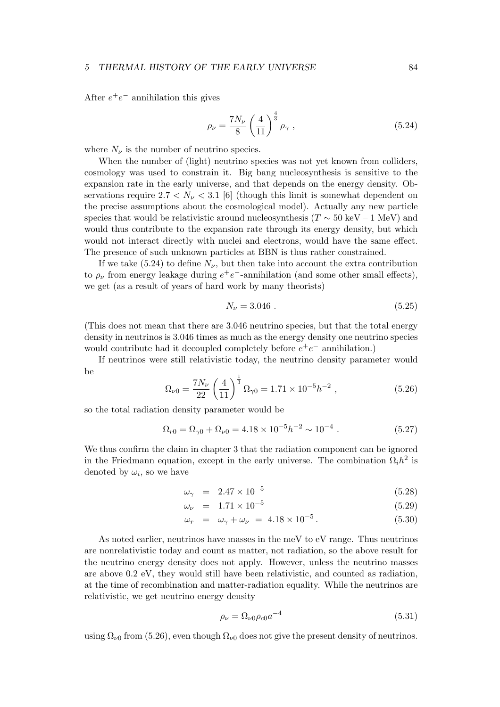After  $e^+e^-$  annihilation this gives

$$
\rho_{\nu} = \frac{7N_{\nu}}{8} \left(\frac{4}{11}\right)^{\frac{4}{3}} \rho_{\gamma} , \qquad (5.24)
$$

where  $N_{\nu}$  is the number of neutrino species.

When the number of (light) neutrino species was not yet known from colliders, cosmology was used to constrain it. Big bang nucleosynthesis is sensitive to the expansion rate in the early universe, and that depends on the energy density. Observations require  $2.7 < N_{\nu} < 3.1$  [6] (though this limit is somewhat dependent on the precise assumptions about the cosmological model). Actually any new particle species that would be relativistic around nucleosynthesis ( $T \sim 50 \text{ keV} - 1 \text{ MeV}$ ) and would thus contribute to the expansion rate through its energy density, but which would not interact directly with nuclei and electrons, would have the same effect. The presence of such unknown particles at BBN is thus rather constrained.

If we take (5.24) to define  $N_{\nu}$ , but then take into account the extra contribution to  $\rho_{\nu}$  from energy leakage during  $e^+e^-$ -annihilation (and some other small effects), we get (as a result of years of hard work by many theorists)

$$
N_{\nu} = 3.046 \tag{5.25}
$$

(This does not mean that there are 3.046 neutrino species, but that the total energy density in neutrinos is 3.046 times as much as the energy density one neutrino species would contribute had it decoupled completely before  $e^+e^-$  annihilation.)

If neutrinos were still relativistic today, the neutrino density parameter would be

$$
\Omega_{\nu 0} = \frac{7N_{\nu}}{22} \left(\frac{4}{11}\right)^{\frac{1}{3}} \Omega_{\gamma 0} = 1.71 \times 10^{-5} h^{-2} ,\qquad (5.26)
$$

so the total radiation density parameter would be

$$
\Omega_{r0} = \Omega_{\gamma 0} + \Omega_{\nu 0} = 4.18 \times 10^{-5} h^{-2} \sim 10^{-4} . \tag{5.27}
$$

We thus confirm the claim in chapter 3 that the radiation component can be ignored in the Friedmann equation, except in the early universe. The combination  $\Omega_i h^2$  is denoted by  $\omega_i$ , so we have

$$
\omega_{\gamma} = 2.47 \times 10^{-5} \tag{5.28}
$$

$$
\omega_{\nu} = 1.71 \times 10^{-5} \tag{5.29}
$$

$$
\omega_r = \omega_\gamma + \omega_\nu = 4.18 \times 10^{-5} \,. \tag{5.30}
$$

As noted earlier, neutrinos have masses in the meV to eV range. Thus neutrinos are nonrelativistic today and count as matter, not radiation, so the above result for the neutrino energy density does not apply. However, unless the neutrino masses are above 0.2 eV, they would still have been relativistic, and counted as radiation, at the time of recombination and matter-radiation equality. While the neutrinos are relativistic, we get neutrino energy density

$$
\rho_{\nu} = \Omega_{\nu 0} \rho_{c0} a^{-4} \tag{5.31}
$$

using  $\Omega_{\nu 0}$  from (5.26), even though  $\Omega_{\nu 0}$  does not give the present density of neutrinos.